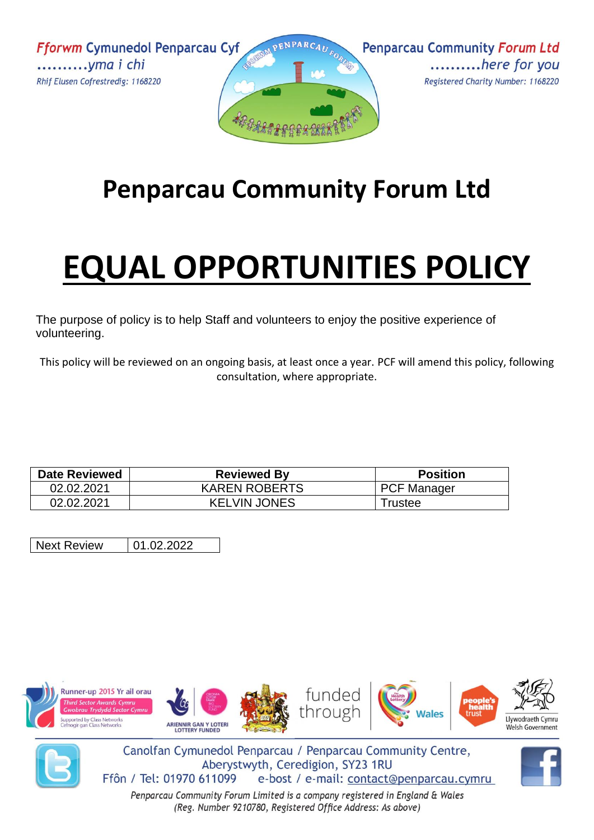**Fforwm Cymunedol Penparcau Cyf** ..........yma i chi Rhif Elusen Cofrestredig: 1168220





## **Penparcau Community Forum Ltd**

## **EQUAL OPPORTUNITIES POLICY**

The purpose of policy is to help Staff and volunteers to enjoy the positive experience of volunteering.

This policy will be reviewed on an ongoing basis, at least once a year. PCF will amend this policy, following consultation, where appropriate.

| <b>Date Reviewed</b> | <b>Reviewed By</b>   | <b>Position</b>    |
|----------------------|----------------------|--------------------|
| 02.02.2021           | <b>KAREN ROBERTS</b> | <b>PCF Manager</b> |
| 02.02.2021           | <b>KELVIN JONES</b>  | ⊺rustee            |

Next Review | 01.02.2022





Canolfan Cymunedol Penparcau / Penparcau Community Centre, Aberystwyth, Ceredigion, SY23 1RU Ffôn / Tel: 01970 611099 e-bost / e-mail: contact@penparcau.cymru

Penparcau Community Forum Limited is a company registered in England & Wales (Reg. Number 9210780, Registered Office Address: As above)